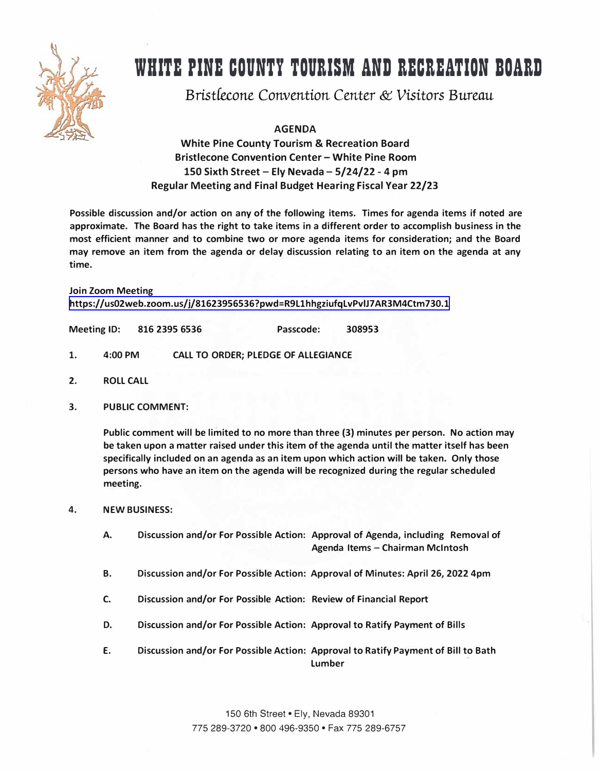

## **WHITE PINE COUNTY TOURISM AND RECREATION BOARD**

*BristCecone Convention* Center & *Visitors* Bureau

**AGENDA** 

**White Pine County Tourism & Recreation Board Bristlecone Convention Center - White Pine Room 150 Sixth Street - Ely Nevada - 5/24/22 - 4 pm Regular Meeting and Final Budget Hearing Fiscal Year 22/23**

**Possible discussion and/or action on any of the following items. Times for agenda items if noted are approximate. The Board has the right to take items in a different order to accomplish business in the most efficient manner and to combine two or more agenda items for consideration; and the Board may remove an item from the agenda or delay discussion relating to an item on the agenda at any time.** 

**Join Zoom Meeting <https://us02web.zoom.us/j/81623956536?pwd=R9L1hhgziufqLvPvlJ7 AR3M4Ctm730.1>** 

**Meeting ID: 816 2395 6536 Passcode: 308953** 

- **1. 4:00 PM CALL TO ORDER; PLEDGE OF ALLEGIANCE**
- **2. ROLL CALL**
- **3. PUBLIC COMMENT:**

**Public comment will be limited to no more than three (3) minutes per person. No action may be taken upon a matter raised under this item of the agenda until the matter itself has been specifically included on an agenda as an item upon which action will be taken. Only those persons who have an item on the agenda will be recognized during the regular scheduled meeting.**

- **4. NEW BUSINESS:**
	- **A. Discussion and/or For Possible Action: Approval of Agenda, including Removal of Agenda Items - Chairman McIntosh**
	- **B. Discussion and/or For Possible Action: Approval of Minutes: April 26, 2022 4pm**
	- **C. Discussion and/or For Possible Action: Review of Financial Report**
	- **D. Discussion and/or For Possible Action: Approval to Ratify Payment of Bills**
	- **E. Discussion and/or For Possible Action: Approval to Ratify Payment of Bill to Bath Lumber**

150 6th Street• Ely, Nevada 89301 775 289-3720 • 800 496-9350 • Fax 775 289-6757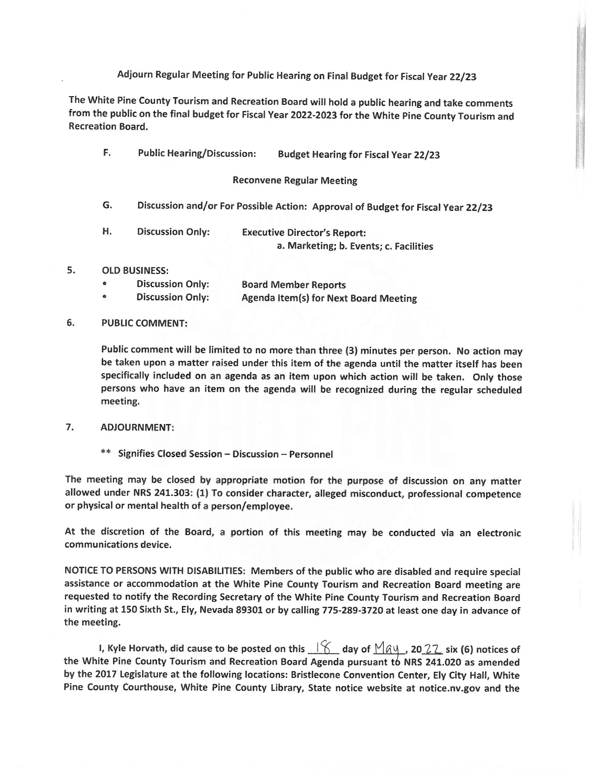## Adjourn Regular Meeting for Public Hearing on Final Budget for Fiscal Year 22/23

The White Pine County Tourism and Recreation Board will hold a public hearing and take comments from the public on the final budget for Fiscal Year 2022-2023 for the White Pine County Tourism and **Recreation Board.** 

| F.        | <b>Public Hearing/Discussion:</b>                                               | <b>Budget Hearing for Fiscal Year 22/23</b>                                   |
|-----------|---------------------------------------------------------------------------------|-------------------------------------------------------------------------------|
|           |                                                                                 | <b>Reconvene Regular Meeting</b>                                              |
| G.        | Discussion and/or For Possible Action: Approval of Budget for Fiscal Year 22/23 |                                                                               |
| н.        | <b>Discussion Only:</b>                                                         | <b>Executive Director's Report:</b><br>a. Marketing; b. Events; c. Facilities |
|           | <b>OLD BUSINESS:</b>                                                            |                                                                               |
| ۰         | <b>Discussion Only:</b>                                                         | <b>Board Member Reports</b>                                                   |
| $\bullet$ | <b>Discussion Only:</b>                                                         | Agenda Item(s) for Next Board Meeting                                         |

## 6. **PUBLIC COMMENT:**

5.

Public comment will be limited to no more than three (3) minutes per person. No action may be taken upon a matter raised under this item of the agenda until the matter itself has been specifically included on an agenda as an item upon which action will be taken. Only those persons who have an item on the agenda will be recognized during the regular scheduled meeting.

## 7. **ADJOURNMENT:**

\*\* Signifies Closed Session - Discussion - Personnel

The meeting may be closed by appropriate motion for the purpose of discussion on any matter allowed under NRS 241.303: (1) To consider character, alleged misconduct, professional competence or physical or mental health of a person/employee.

At the discretion of the Board, a portion of this meeting may be conducted via an electronic communications device.

NOTICE TO PERSONS WITH DISABILITIES: Members of the public who are disabled and require special assistance or accommodation at the White Pine County Tourism and Recreation Board meeting are requested to notify the Recording Secretary of the White Pine County Tourism and Recreation Board in writing at 150 Sixth St., Ely, Nevada 89301 or by calling 775-289-3720 at least one day in advance of the meeting.

I, Kyle Horvath, did cause to be posted on this  $\frac{1}{6}$  day of  $\frac{M_{\alpha}u}{22}$ , 20 22 six (6) notices of the White Pine County Tourism and Recreation Board Agenda pursuant to NRS 241.020 as amended by the 2017 Legislature at the following locations: Bristlecone Convention Center, Ely City Hall, White Pine County Courthouse, White Pine County Library, State notice website at notice.nv.gov and the